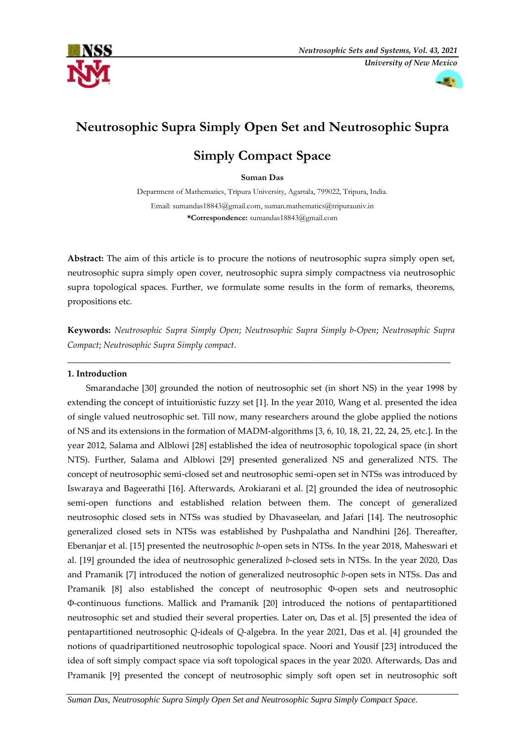



# **Neutrosophic Supra Simply Open Set and Neutrosophic Supra**

# **Simply Compact Space**

# **Suman Das**

Department of Mathematics, Tripura University, Agartala, 799022, Tripura, India. Email: [sumandas18843@gmail.com,](mailto:sumandas18843@gmail.com) [suman.mathematics@tripurauni](mailto:suman.mathematics@tripuraun)v.in **\*Correspondence:** sumandas18843@gmail.com

**Abstract:** The aim of this article is to procure the notions of neutrosophic supra simply open set, neutrosophic supra simply open cover, neutrosophic supra simply compactness via neutrosophic supra topological spaces. Further, we formulate some results in the form of remarks, theorems, propositions etc.

**Keywords:** *Neutrosophic Supra Simply Open*; *Neutrosophic Supra Simply b*-*Open*; *Neutrosophic Supra Compact*; *Neutrosophic Supra Simply compact*.

\_\_\_\_\_\_\_\_\_\_\_\_\_\_\_\_\_\_\_\_\_\_\_\_\_\_\_\_\_\_\_\_\_\_\_\_\_\_\_\_\_\_\_\_\_\_\_\_\_\_\_\_\_\_\_\_\_\_\_\_\_\_\_\_\_\_\_\_\_\_\_\_\_\_\_\_\_\_\_\_\_\_\_\_\_\_\_

## **1. Introduction**

Smarandache [30] grounded the notion of neutrosophic set (in short NS) in the year 1998 by extending the concept of intuitionistic fuzzy set [1]. In the year 2010, Wang et al. presented the idea of single valued neutrosophic set. Till now, many researchers around the globe applied the notions of NS and its extensions in the formation of MADM-algorithms [3, 6, 10, 18, 21, 22, 24, 25, etc.]. In the year 2012, Salama and Alblowi [28] established the idea of neutrosophic topological space (in short NTS). Further, Salama and Alblowi [29] presented generalized NS and generalized NTS. The concept of neutrosophic semi-closed set and neutrosophic semi-open set in NTSs was introduced by Iswaraya and Bageerathi [16]. Afterwards, Arokiarani et al. [2] grounded the idea of neutrosophic semi-open functions and established relation between them. The concept of generalized neutrosophic closed sets in NTSs was studied by Dhavaseelan, and Jafari [14]. The neutrosophic generalized closed sets in NTSs was established by Pushpalatha and Nandhini [26]. Thereafter, Ebenanjar et al. [15] presented the neutrosophic *b*-open sets in NTSs. In the year 2018, Maheswari et al. [19] grounded the idea of neutrosophic generalized *b*-closed sets in NTSs. In the year 2020, Das and Pramanik [7] introduced the notion of generalized neutrosophic *b*-open sets in NTSs. Das and Pramanik [8] also established the concept of neutrosophic Φ-open sets and neutrosophic Φ-continuous functions. Mallick and Pramanik [20] introduced the notions of pentapartitioned neutrosophic set and studied their several properties. Later on, Das et al. [5] presented the idea of pentapartitioned neutrosophic *Q*-ideals of *Q*-algebra. In the year 2021, Das et al. [4] grounded the notions of quadripartitioned neutrosophic topological space. Noori and Yousif [23] introduced the idea of soft simply compact space via soft topological spaces in the year 2020. Afterwards, Das and Pramanik [9] presented the concept of neutrosophic simply soft open set in neutrosophic soft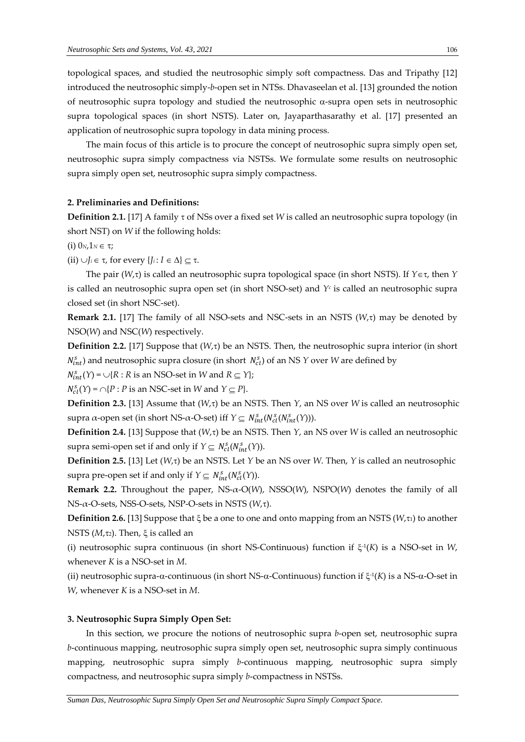topological spaces, and studied the neutrosophic simply soft compactness. Das and Tripathy [12] introduced the neutrosophic simply-*b*-open set in NTSs. Dhavaseelan et al. [13] grounded the notion of neutrosophic supra topology and studied the neutrosophic  $\alpha$ -supra open sets in neutrosophic supra topological spaces (in short NSTS). Later on, Jayaparthasarathy et al. [17] presented an application of neutrosophic supra topology in data mining process.

The main focus of this article is to procure the concept of neutrosophic supra simply open set, neutrosophic supra simply compactness via NSTSs. We formulate some results on neutrosophic supra simply open set, neutrosophic supra simply compactness.

## **2. Preliminaries and Definitions:**

**Definition 2.1.** [17] A family  $\tau$  of NSs over a fixed set *W* is called an neutrosophic supra topology (in short NST) on *W* if the following holds:

(i)  $0_N, 1_N \in \tau$ ;

(ii)  $\bigcup_i \in \tau$ , for every  $\{J_i : I \in \Delta\} \subseteq \tau$ .

The pair ( $W,\tau$ ) is called an neutrosophic supra topological space (in short NSTS). If  $Y \in \tau$ , then *Y* is called an neutrosophic supra open set (in short NSO-set) and *Y<sup>c</sup>* is called an neutrosophic supra closed set (in short NSC-set).

**Remark 2.1.** [17] The family of all NSO-sets and NSC-sets in an NSTS  $(W,\tau)$  may be denoted by NSO(*W*) and NSC(*W*) respectively.

**Definition 2.2.** [17] Suppose that  $(W,\tau)$  be an NSTS. Then, the neutrosophic supra interior (in short  $N_{int}^s$ ) and neutrosophic supra closure (in short  $N_{cl}^s$ ) of an NS *Y* over *W* are defined by

 $N_{int}^{s}(Y) = \bigcup \{R : R \text{ is an NSO-set in } W \text{ and } R \subseteq Y\};$ 

 $N_{cl}^s(Y) = \bigcap \{P : P \text{ is an NSC-set in } W \text{ and } Y \subseteq P\}.$ 

**Definition 2.3.** [13] Assume that  $(W,\tau)$  be an NSTS. Then *Y*, an NS over *W* is called an neutrosophic supra α-open set (in short NS-α-O-set) iff  $Y \subseteq N_{int}^s(N_{cl}^s(N_{int}^s(Y)))$ .

**Definition 2.4.** [13] Suppose that  $(W,\tau)$  be an NSTS. Then *Y*, an NS over *W* is called an neutrosophic supra semi-open set if and only if  $Y \subseteq N_{cl}^s(N_{int}^s(Y)).$ 

**Definition 2.5.** [13] Let  $(W,\tau)$  be an NSTS. Let *Y* be an NS over *W*. Then, *Y* is called an neutrosophic supra pre-open set if and only if  $Y \subseteq N_{int}^s(N_{cl}^s(Y))$ .

**Remark 2.2.** Throughout the paper, NS-α-O(*W*), NSSO(*W*), NSPO(*W*) denotes the family of all NS-α-O-sets, NSS-O-sets, NSP-O-sets in NSTS ( $W$ ,τ).

**Definition 2.6.** [13] Suppose that  $\xi$  be a one to one and onto mapping from an NSTS ( $W$ , $\tau$ <sub>1</sub>) to another NSTS  $(M, \tau_2)$ . Then,  $\xi$  is called an

(i) neutrosophic supra continuous (in short NS-Continuous) function if  $\xi$ <sup>1</sup>(K) is a NSO-set in W, whenever *K* is a NSO-set in *M*.

(ii) neutrosophic supra- $\alpha$ -continuous (in short NS- $\alpha$ -Continuous) function if  $\xi$ <sup>-1</sup>(*K*) is a NS- $\alpha$ -O-set in *W*, whenever *K* is a NSO-set in *M*.

### **3. Neutrosophic Supra Simply Open Set:**

In this section, we procure the notions of neutrosophic supra *b*-open set, neutrosophic supra *b*-continuous mapping, neutrosophic supra simply open set, neutrosophic supra simply continuous mapping, neutrosophic supra simply *b*-continuous mapping, neutrosophic supra simply compactness, and neutrosophic supra simply *b*-compactness in NSTSs.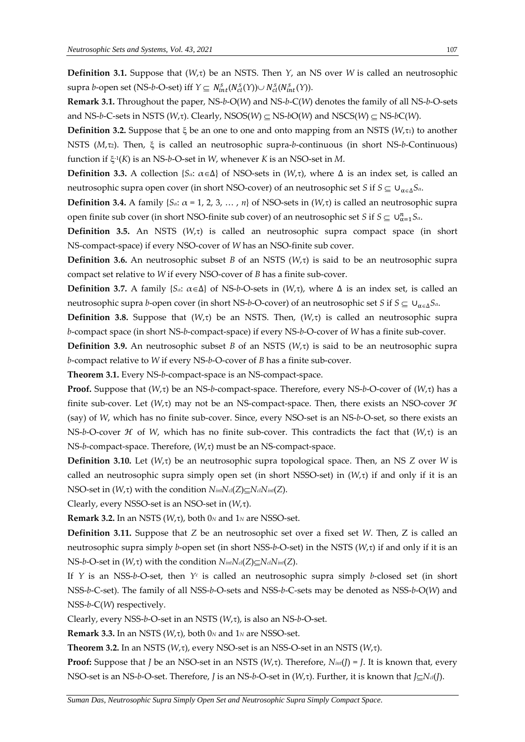**Definition 3.1.** Suppose that  $(W,\tau)$  be an NSTS. Then *Y*, an NS over *W* is called an neutrosophic supra *b*-open set (NS-*b*-O-set) iff  $Y \subseteq N_{int}^s(N_{cl}^s(Y)) \cup N_{cl}^s(N_{int}^s(Y))$ .

**Remark 3.1.** Throughout the paper, NS-*b*-O(*W*) and NS-*b*-C(*W*) denotes the family of all NS-*b*-O-sets and NS-*b*-C-sets in NSTS ( $W, \tau$ ). Clearly, NSOS( $W$ )  $\subset$  NS-*b*O( $W$ ) and NSCS( $W$ )  $\subset$  NS-*b*C( $W$ ).

**Definition 3.2.** Suppose that  $\xi$  be an one to one and onto mapping from an NSTS ( $W$ , $\tau$ <sub>1</sub>) to another NSTS (*M*,τ<sub>2</sub>). Then, ξ is called an neutrosophic supra-*b*-continuous (in short NS-*b*-Continuous) function if -1 (*K*) is an NS-*b*-O-set in *W*, whenever *K* is an NSO-set in *M*.

**Definition 3.3.** A collection {*S*<sup>*a*</sup>:  $\alpha \in \Delta$ } of NSO-sets in (*W*, $\tau$ ), where  $\Delta$  is an index set, is called an neutrosophic supra open cover (in short NSO-cover) of an neutrosophic set *S* if  $S \subseteq \bigcup_{\alpha \in \Lambda} S_\alpha$ .

**Definition 3.4.** A family  $\{S_\alpha: \alpha = 1, 2, 3, \dots, n\}$  of NSO-sets in  $(W, \tau)$  is called an neutrosophic supra open finite sub cover (in short NSO-finite sub cover) of an neutrosophic set *S* if  $S \subseteq \bigcup_{\alpha=1}^n S_\alpha$ .

**Definition 3.5.** An NSTS  $(W,\tau)$  is called an neutrosophic supra compact space (in short NS-compact-space) if every NSO-cover of *W* has an NSO-finite sub cover.

**Definition 3.6.** An neutrosophic subset *B* of an NSTS  $(W,\tau)$  is said to be an neutrosophic supra compact set relative to *W* if every NSO-cover of *B* has a finite sub-cover.

**Definition 3.7.** A family {*S*<sup>*a*:  $\alpha \in \Delta$ } of NS-*b*-O-sets in (*W*, $\tau$ ), where  $\Delta$  is an index set, is called an</sup> neutrosophic supra *b*-open cover (in short NS-*b*-O-cover) of an neutrosophic set *S* if  $S \subseteq \bigcup_{\alpha \in \Delta} S_\alpha$ .

**Definition 3.8.** Suppose that  $(W,\tau)$  be an NSTS. Then,  $(W,\tau)$  is called an neutrosophic supra *b*-compact space (in short NS-*b*-compact-space) if every NS-*b*-O-cover of *W* has a finite sub-cover.

**Definition 3.9.** An neutrosophic subset *B* of an NSTS  $(W,\tau)$  is said to be an neutrosophic supra *b*-compact relative to *W* if every NS-*b*-O-cover of *B* has a finite sub-cover.

**Theorem 3.1.** Every NS-*b*-compact-space is an NS-compact-space.

**Proof.** Suppose that  $(W,\tau)$  be an NS-*b*-compact-space. Therefore, every NS-*b*-O-cover of  $(W,\tau)$  has a finite sub-cover. Let  $(W,\tau)$  may not be an NS-compact-space. Then, there exists an NSO-cover  $\mathcal H$ (say) of *W*, which has no finite sub-cover. Since, every NSO-set is an NS-*b*-O-set, so there exists an NS-b-O-cover *H* of *W*, which has no finite sub-cover. This contradicts the fact that  $(W,\tau)$  is an NS-*b*-compact-space. Therefore, (*W*,τ) must be an NS-compact-space.

**Definition 3.10.** Let  $(W,\tau)$  be an neutrosophic supra topological space. Then, an NS *Z* over *W* is called an neutrosophic supra simply open set (in short NSSO-set) in  $(W,\tau)$  if and only if it is an NSO-set in  $(W,\tau)$  with the condition  $N_{int}N_{cl}(Z) \subseteq N_{cl}N_{int}(Z)$ .

Clearly, every NSSO-set is an NSO-set in ( $W$ ,τ).

**Remark 3.2.** In an NSTS ( $W, \tau$ ), both 0*N* and 1*N* are NSSO-set.

**Definition 3.11.** Suppose that *Z* be an neutrosophic set over a fixed set *W*. Then, Z is called an neutrosophic supra simply *b*-open set (in short NSS-*b*-O-set) in the NSTS ( $W,\tau$ ) if and only if it is an  $NS-b-O-set$  in  $(W,\tau)$  with the condition  $N_{int}N_{cl}(Z) \subseteq N_{cl}N_{int}(Z)$ .

If *Y* is an NSS-*b*-O-set, then *Y<sup>c</sup>* is called an neutrosophic supra simply *b*-closed set (in short NSS-*b*-C-set). The family of all NSS-*b*-O-sets and NSS-*b*-C-sets may be denoted as NSS-*b*-O(*W*) and NSS-*b*-C(*W*) respectively.

Clearly, every NSS-*b*-O-set in an NSTS ( $W$ ,τ), is also an NS-*b*-O-set.

**Remark 3.3.** In an NSTS ( $W, \tau$ ), both 0 $N$  and 1 $N$  are NSSO-set.

**Theorem 3.2.** In an NSTS ( $W, \tau$ ), every NSO-set is an NSS-O-set in an NSTS ( $W, \tau$ ).

**Proof:** Suppose that *J* be an NSO-set in an NSTS  $(W,\tau)$ . Therefore,  $N_{int}(J) = J$ . It is known that, every NSO-set is an NS-*b*-O-set. Therefore, *J* is an NS-*b*-O-set in (*W*,τ). Further, it is known that *J*⊆*N*<sup>*d*</sup>(*J*).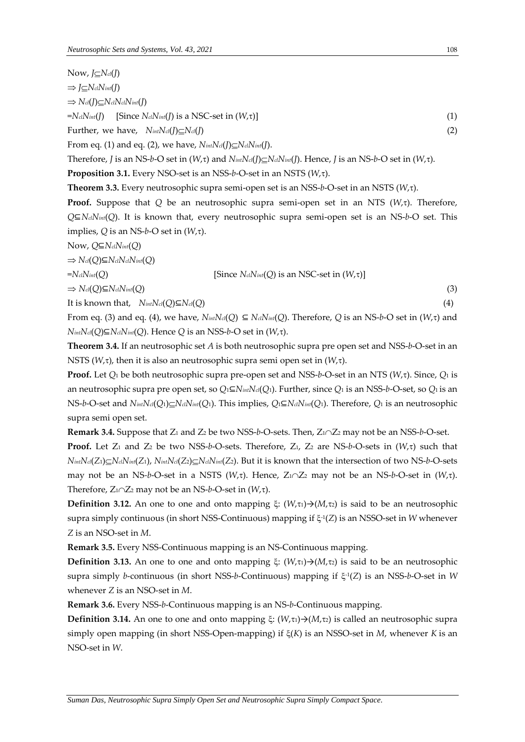*Now*, *J*⊆*N*<sup>*c*</sup>(*J*)  $\Rightarrow$  *J* $\subseteq$ *N*<sup>*cl*</sup>*Nint*(*J*)  $\Rightarrow$   $N_{cl}(I) \subset N_{cl}N_{cl}N_{int}(I)$  $= N_{cl} N_{int}(I)$  [Since  $N_{cl} N_{int}(I)$  is a NSC-set in  $(W,\tau)$ ] (1) Further, we have,  $N_{int}N_{ci}(I) \subseteq N_{ci}(I)$  (2) From eq. (1) and eq. (2), we have,  $N_{int}N_{cl}(I) \subseteq N_{cl}N_{int}(I)$ . Therefore, *J* is an NS-*b*-O set in  $(W,\tau)$  and  $N_{int}N_{cl}(I) \subset N_{cl}N_{int}(I)$ . Hence, *J* is an NS-*b*-O set in  $(W,\tau)$ .

**Proposition 3.1.** Every NSO-set is an NSS- $b$ -O-set in an NSTS ( $W,\tau$ ).

**Theorem 3.3.** Every neutrosophic supra semi-open set is an NSS-*b*-O-set in an NSTS (*W*,).

**Proof.** Suppose that  $Q$  be an neutrosophic supra semi-open set in an NTS  $(W,\tau)$ . Therefore, *Q*⊆*NclNint*(*Q*). It is known that, every neutrosophic supra semi-open set is an NS-*b*-O set. This implies,  $Q$  is an NS-*b*-O set in  $(W,\tau)$ .

Now, *Q*⊆*NclNint*(*Q*)

 $\Rightarrow$  *N*<sup>*cl*</sup>(*Q*)⊆*N*<sup>*cl*</sub>*N*<sup>*cl*</sup>*N*<sup>*int*</sup>(*Q*)</sup>

$$
=N_{\text{cl}}N_{\text{int}}(Q) \qquad \qquad [\text{Since } N_{\text{cl}}N_{\text{int}}(Q) \text{ is an NSC-set in } (W,\tau)]
$$

 $\Rightarrow$  *Ncl*(*Q*)⊆*NclNint*(*Q*) (3)

It is known that,  $N_{int}N_{cl}(Q) \subseteq N_{cl}(Q)$  (4)

From eq. (3) and eq. (4), we have,  $N_{int}N_{el}(Q) \subseteq N_{cl}N_{int}(Q)$ . Therefore, Q is an NS-*b*-O set in  $(W,\tau)$  and  $N$ *intNcl*(*Q*)⊆ $N$ *clNint*(*Q*). Hence *Q* is an NSS-*b*-O set in ( $W$ , $\tau$ ).

**Theorem 3.4.** If an neutrosophic set *A* is both neutrosophic supra pre open set and NSS-*b*-O-set in an NSTS ( $W$ , $\tau$ ), then it is also an neutrosophic supra semi open set in ( $W$ , $\tau$ ).

**Proof.** Let *Q*<sup>1</sup> be both neutrosophic supra pre-open set and NSS-*b*-O-set in an NTS (*W*,). Since, *Q*<sup>1</sup> is an neutrosophic supra pre open set, so *Q*1⊆*NintNcl*(*Q*1). Further, since *Q*<sup>1</sup> is an NSS-*b*-O-set, so *Q*1 is an NS-b-O-set and  $N_{int}N_{cl}(Q_1)\subseteq N_{cl}N_{int}(Q_1)$ . This implies,  $Q_1\subseteq N_{cl}N_{int}(Q_1)$ . Therefore,  $Q_1$  is an neutrosophic supra semi open set.

**Remark 3.4.** Suppose that Z<sub>1</sub> and Z<sub>2</sub> be two NSS-*b*-O-sets. Then, Z<sub>1</sub> $\cap$ Z<sub>2</sub> may not be an NSS-*b*-O-set. **Proof.** Let Z<sub>1</sub> and Z<sub>2</sub> be two NSS-*b*-O-sets. Therefore, Z<sub>1</sub>, Z<sub>2</sub> are NS-*b*-O-sets in  $(W,\tau)$  such that  $N_{int}N_{cl}(Z_1)\subseteq N_{cl}N_{int}(Z_1)$ ,  $N_{int}N_{cl}(Z_2)\subseteq N_{cl}N_{int}(Z_2)$ . But it is known that the intersection of two NS-b-O-sets may not be an NS-b-O-set in a NSTS  $(W,\tau)$ . Hence,  $Z_1 \cap Z_2$  may not be an NS-b-O-set in  $(W,\tau)$ . Therefore,  $Z_1 \cap Z_2$  may not be an NS-*b*-O-set in  $(W, \tau)$ .

**Definition 3.12.** An one to one and onto mapping  $\xi$ :  $(W,\tau_1) \rightarrow (M,\tau_2)$  is said to be an neutrosophic supra simply continuous (in short NSS-Continuous) mapping if  $\xi$ <sup>1</sup>(Z) is an NSSO-set in *W* whenever *Z* is an NSO-set in *M*.

**Remark 3.5.** Every NSS-Continuous mapping is an NS-Continuous mapping.

**Definition 3.13.** An one to one and onto mapping  $\xi$ :  $(W, \tau_1) \rightarrow (M, \tau_2)$  is said to be an neutrosophic supra simply *b*-continuous (in short NSS-*b*-Continuous) mapping if  $\xi$ -1(Z) is an NSS-*b-*O-set in *W* whenever *Z* is an NSO-set in *M*.

**Remark 3.6.** Every NSS-*b*-Continuous mapping is an NS-*b*-Continuous mapping.

**Definition 3.14.** An one to one and onto mapping  $\xi$ :  $(W,\tau) \rightarrow (M,\tau)$  is called an neutrosophic supra simply open mapping (in short NSS-Open-mapping) if (*K*) is an NSSO-set in *M*, whenever *K* is an NSO-set in *W*.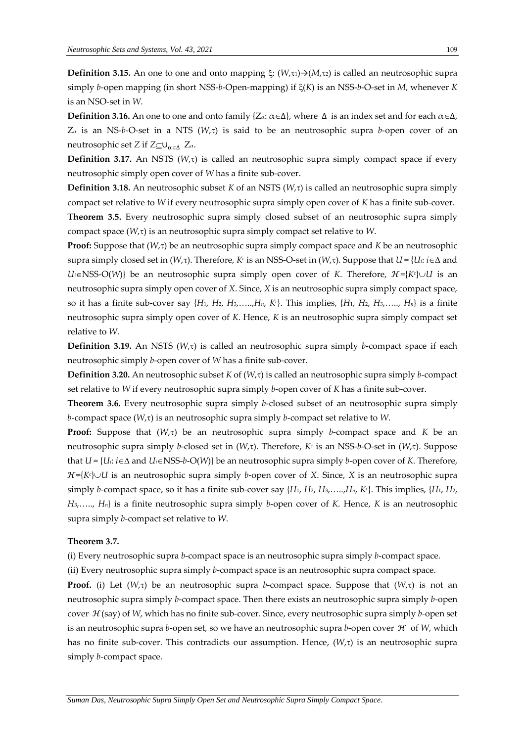**Definition** 3.15. An one to one and onto mapping  $\xi$ :  $(W,\tau) \rightarrow (M,\tau)$  is called an neutrosophic supra simply *b*-open mapping (in short NSS-*b*-Open-mapping) if (*K*) is an NSS-*b*-O-set in *M*, whenever *K*  is an NSO-set in *W*.

**Definition 3.16.** An one to one and onto family { $Z_\alpha$ :  $\alpha \in \Delta$ }, where  $\Delta$  is an index set and for each  $\alpha \in \Delta$ ,  $Z_{\alpha}$  is an NS-*b*-O-set in a NTS ( $W_{\alpha}$ ) is said to be an neutrosophic supra *b*-open cover of an neutrosophic set *Z* if  $Z \subseteq U_{\alpha \in \Lambda}$   $Z_{\alpha}$ .

**Definition 3.17.** An NSTS  $(W,\tau)$  is called an neutrosophic supra simply compact space if every neutrosophic simply open cover of *W* has a finite sub-cover.

**Definition 3.18.** An neutrosophic subset *K* of an NSTS  $(W, \tau)$  is called an neutrosophic supra simply compact set relative to *W* if every neutrosophic supra simply open cover of *K* has a finite sub-cover.

**Theorem 3.5.** Every neutrosophic supra simply closed subset of an neutrosophic supra simply compact space  $(W,\tau)$  is an neutrosophic supra simply compact set relative to *W*.

Proof: Suppose that (*W*, $\tau$ ) be an neutrosophic supra simply compact space and *K* be an neutrosophic supra simply closed set in (*W*, $\tau$ ). Therefore, *K<sup>c</sup>* is an NSS-O-set in (*W*, $\tau$ ). Suppose that *U* = {*U<sub>i</sub>*: *i* ∈ ∆ and *U*<sup>*i*∈NSS-O(*W*)} be an neutrosophic supra simply open cover of *K*. Therefore, *H*={*K<sup><i>c*</sup>}∪*U* is an</sup> neutrosophic supra simply open cover of *X*. Since, *X* is an neutrosophic supra simply compact space, so it has a finite sub-cover say {*H*1, *H*2, *H*3,…..,*Hn*, *K<sup>c</sup>* }. This implies, {*H*1, *H*2, *H*3,….., *Hn*} is a finite neutrosophic supra simply open cover of *K*. Hence, *K* is an neutrosophic supra simply compact set relative to *W*.

**Definition 3.19.** An NSTS ( $W, \tau$ ) is called an neutrosophic supra simply *b*-compact space if each neutrosophic simply *b*-open cover of *W* has a finite sub-cover.

**Definition 3.20.** An neutrosophic subset *K* of  $(W,\tau)$  is called an neutrosophic supra simply *b*-compact set relative to *W* if every neutrosophic supra simply *b*-open cover of *K* has a finite sub-cover.

**Theorem 3.6.** Every neutrosophic supra simply *b*-closed subset of an neutrosophic supra simply *b*-compact space  $(W,\tau)$  is an neutrosophic supra simply *b*-compact set relative to *W*.

**Proof:** Suppose that  $(W,\tau)$  be an neutrosophic supra simply *b*-compact space and *K* be an neutrosophic supra simply *b*-closed set in (W,τ). Therefore, K<sup>*c*</sup> is an NSS-b-O-set in (W,τ). Suppose that  $U = \{U_i : i \in \Delta \text{ and } U_i \in \text{NSS-}b-O(W)\}\$  be an neutrosophic supra simply *b*-open cover of *K*. Therefore, ℋ={*K<sup>c</sup>* }*U* is an neutrosophic supra simply *b*-open cover of *X*. Since, *X* is an neutrosophic supra simply *b*-compact space, so it has a finite sub-cover say {*H*1, *H*2, *H*3,…..,*Hn*, *K<sup>c</sup>* }. This implies, {*H*1, *H*2, *H*3,….., *Hn*} is a finite neutrosophic supra simply *b*-open cover of *K*. Hence, *K* is an neutrosophic supra simply *b*-compact set relative to *W*.

### **Theorem 3.7.**

(i) Every neutrosophic supra *b*-compact space is an neutrosophic supra simply *b*-compact space.

(ii) Every neutrosophic supra simply *b*-compact space is an neutrosophic supra compact space.

**Proof.** (i) Let  $(W,\tau)$  be an neutrosophic supra *b*-compact space. Suppose that  $(W,\tau)$  is not an neutrosophic supra simply *b*-compact space. Then there exists an neutrosophic supra simply *b-*open cover ℋ(say) of *W*, which has no finite sub-cover. Since, every neutrosophic supra simply *b-*open set is an neutrosophic supra *b*-open set, so we have an neutrosophic supra *b*-open cover ℋ of *W*, which has no finite sub-cover. This contradicts our assumption. Hence,  $(W,\tau)$  is an neutrosophic supra simply *b*-compact space.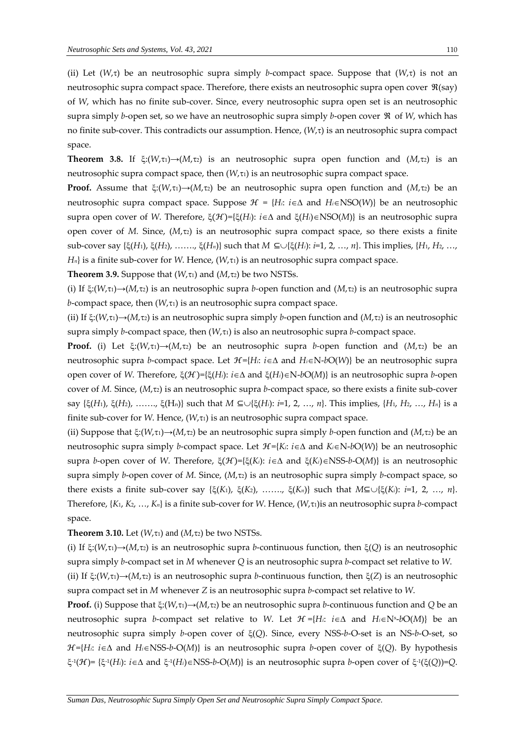(ii) Let  $(W,\tau)$  be an neutrosophic supra simply *b*-compact space. Suppose that  $(W,\tau)$  is not an neutrosophic supra compact space. Therefore, there exists an neutrosophic supra open cover  $\Re(\text{say})$ of *W*, which has no finite sub-cover. Since, every neutrosophic supra open set is an neutrosophic supra simply *b*-open set, so we have an neutrosophic supra simply *b*-open cover ℜ of *W*, which has no finite sub-cover. This contradicts our assumption. Hence,  $(W,\tau)$  is an neutrosophic supra compact space.

**Theorem 3.8.** If  $\xi: (W,\tau_1) \rightarrow (M,\tau_2)$  is an neutrosophic supra open function and  $(M,\tau_2)$  is an neutrosophic supra compact space, then  $(W, \tau)$  is an neutrosophic supra compact space.

**Proof.** Assume that  $\xi: (W,\tau_1) \rightarrow (M,\tau_2)$  be an neutrosophic supra open function and  $(M,\tau_2)$  be an neutrosophic supra compact space. Suppose  $\mathcal{H} = \{H_i: i \in \Delta \text{ and } H_i \in NSO(W)\}\$ be an neutrosophic supra open cover of *W*. Therefore,  $\xi(\mathcal{H}) = {\xi(H_i): i \in \Delta}$  and  $\xi(H_i) \in NSO(M)$ } is an neutrosophic supra open cover of  $M$ . Since,  $(M, \tau_2)$  is an neutrosophic supra compact space, so there exists a finite sub-cover say {ξ(*H*<sub>1</sub>), ξ(*H*<sub>2</sub>), ……,, ξ(*H<sub>n</sub>*)} such that *M* ⊆∪{ξ(*H<sub>i</sub>*): *i*=1, 2, …, *n*}. This implies, {*H*<sub>1</sub>, *H*<sub>2</sub>, …,  $H_n$  is a finite sub-cover for *W*. Hence,  $(W, \tau_1)$  is an neutrosophic supra compact space.

**Theorem 3.9.** Suppose that  $(W, \tau_1)$  and  $(M, \tau_2)$  be two NSTSs.

(i) If  $\xi$ :( $W,\tau$ <sub>1</sub>) $\rightarrow$ ( $M,\tau$ <sub>2</sub>) is an neutrosophic supra *b*-open function and ( $M,\tau$ <sub>2</sub>) is an neutrosophic supra *b*-compact space, then  $(W, \tau_1)$  is an neutrosophic supra compact space.

(ii) If  $\xi:(W,\tau_1)\rightarrow (M,\tau_2)$  is an neutrosophic supra simply *b*-open function and  $(M,\tau_2)$  is an neutrosophic supra simply *b*-compact space, then  $(W,\tau_1)$  is also an neutrosophic supra *b*-compact space.

**Proof.** (i) Let  $\xi: (W, \tau) \rightarrow (M, \tau)$  be an neutrosophic supra *b*-open function and  $(M, \tau)$  be an neutrosophic supra *b*-compact space. Let *H*={*Hi*: *i*∈∆ and *Hi*∈N-*b*O(*W*)} be an neutrosophic supra open cover of *W*. Therefore,  $\xi(\mathcal{H}) = {\xi(H_i): i \in \Delta}$  and  $\xi(H_i) \in N$ -*bO(M))* is an neutrosophic supra *b*-open cover of *M.* Since, ( $M_\tau$ <sub>2</sub>) is an neutrosophic supra *b*-compact space, so there exists a finite sub-cover say { $\xi(H_1)$ ,  $\xi(H_2)$ , …….,  $\xi(H_n)$ } such that *M* ⊆∪{ $\xi(H_i)$ : *i*=1, 2, …, *n*}. This implies, {*H*<sub>1</sub>, *H*<sub>2</sub>, …, *H<sub>n</sub>*} is a finite sub-cover for *W*. Hence,  $(W, \tau_1)$  is an neutrosophic supra compact space.

(ii) Suppose that  $\xi: (W, \tau) \rightarrow (M, \tau)$  be an neutrosophic supra simply *b*-open function and  $(M, \tau)$  be an neutrosophic supra simply *b*-compact space. Let  $\mathcal{H} = \{K : i \in \Delta \text{ and } K_i \in \mathbb{N} \text{-}bO(W)\}$  be an neutrosophic supra *b*-open cover of *W*. Therefore, ξ(*H*)={ξ(*K<sub>i</sub>*): *i* ∈ ∆ and ξ(*K<sub>i</sub>*)∈NSS-*b*-O(*M*)} is an neutrosophic supra simply *b*-open cover of *M.* Since, (*M*,2) is an neutrosophic supra simply *b*-compact space, so there exists a finite sub-cover say  $\{\xi(K_1), \xi(K_2), \ldots, \xi(K_n)\}$  such that  $M \subseteq \cup \{\xi(K_i): i=1, 2, \ldots, n\}.$ Therefore, {*K*1, *K*2, …, *Kn*} is a finite sub-cover for *W*. Hence, (*W*,1)is an neutrosophic supra *b-*compact space.

### **Theorem 3.10.** Let  $(W, \tau_1)$  and  $(M, \tau_2)$  be two NSTSs.

(i) If  $\xi$ :( $W,\tau$ <sub>1</sub>) $\rightarrow$ ( $M,\tau$ <sub>2</sub>) is an neutrosophic supra *b*-continuous function, then  $\xi$ ( $Q$ ) is an neutrosophic supra simply *b*-compact set in *M* whenever *Q* is an neutrosophic supra *b*-compact set relative to *W*.

(ii) If  $\xi: (W, \tau) \rightarrow (M, \tau)$  is an neutrosophic supra *b*-continuous function, then  $\xi(Z)$  is an neutrosophic supra compact set in *M* whenever *Z* is an neutrosophic supra *b*-compact set relative to *W*.

**Proof.** (i) Suppose that  $\xi: (W, \tau) \rightarrow (M, \tau)$  be an neutrosophic supra *b*-continuous function and *Q* be an neutrosophic supra *b*-compact set relative to *W*. Let  $\mathcal{H} = \{H_i: i \in \Delta \text{ and } H_i \in \mathbb{N}^s \text{-}bO(M)\}$  be an neutrosophic supra simply *b*-open cover of (*Q*). Since, every NSS-*b*-O-set is an NS-*b*-O-set, so  $\mathcal{H}=\{H_i: i \in \Delta \text{ and } H_i \in \text{NSS-}b-\text{O}(M)\}\$  is an neutrosophic supra *b*-open cover of  $\xi(Q)$ . By hypothesis  $\xi$ <sup>-1</sup>( $\mathcal{H}$ )= { $\xi$ <sup>-1</sup>( $H$ <sub>*i*</sub>):  $i \in \Delta$  and  $\xi$ <sup>-1</sup>( $H$ *i*) $\in$ NSS-*b*-O( $M$ )} is an neutrosophic supra *b*-open cover of  $\xi$ <sup>-1</sup>( $\xi$ ( $Q$ ))= $Q$ .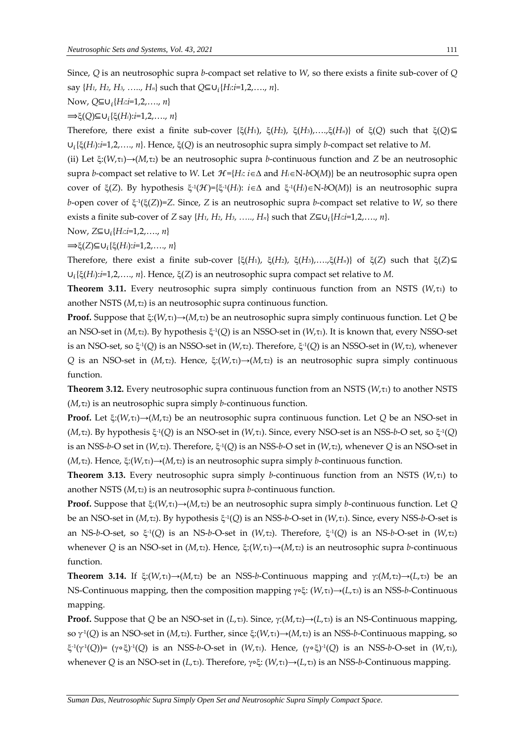Since, *Q* is an neutrosophic supra *b*-compact set relative to *W*, so there exists a finite sub-cover of *Q*  say {*H1, H2, H3, ….., Hn*} such that *Q*⊆∪ {*Hi*:*i*=1,2,…., *n*}.

Now, *Q*⊆∪ {*Hi*:*i*=1,2,…., *n*}

⟹(*Q*)⊆∪ {(*Hi*):*i*=1,2,…., *n*}

Therefore, there exist a finite sub-cover { $\xi(H_1)$ ,  $\xi(H_2)$ ,  $\xi(H_3)$ , ..., $\xi(H_n)$ } of  $\xi(Q)$  such that  $\xi(Q)$ ⊆ ∪ {(*Hi*):*i*=1,2,…., *n*}. Hence, (*Q*) is an neutrosophic supra simply *b*-compact set relative to *M*.

(ii) Let  $\xi: (W, \tau) \rightarrow (M, \tau)$  be an neutrosophic supra *b*-continuous function and *Z* be an neutrosophic supra *b*-compact set relative to *W*. Let  $\mathcal{H} = \{H : i \in \Delta \text{ and } H_i \in \mathbb{N} \cdot bO(M)\}$  be an neutrosophic supra open cover of  $\xi(Z)$ . By hypothesis  $\xi^{\text{-}1}(\mathcal{H}) = {\xi^{\text{-}1}(H_i): i \in \Delta}$  and  $\xi^{\text{-}1}(H_i) \in N$ -*bO*(*M*)} is an neutrosophic supra b-open cover of  $\xi$ <sup>1</sup>( $\xi$ (*Z*))=*Z*. Since, *Z* is an neutrosophic supra *b*-compact set relative to *W*, so there exists a finite sub-cover of *Z* say {*H1, H2, H3, ….., Hn*} such that *Z*⊆∪ {*Hi*:*i*=1,2,…., *n*}.

Now, *Z*⊆∪ {*Hi*:*i*=1,2,…., *n*}

⟹(*Z*)⊆∪ {(*Hi*):*i*=1,2,…., *n*}

Therefore, there exist a finite sub-cover { $\xi(H_1)$ ,  $\xi(H_2)$ ,  $\xi(H_3)$ ,…., $\xi(H_n)$ } of  $\xi(Z)$  such that  $\xi(Z) \subseteq$ ∪ {(*Hi*):*i*=1,2,…., *n*}. Hence, (*Z*) is an neutrosophic supra compact set relative to *M*.

**Theorem 3.11.** Every neutrosophic supra simply continuous function from an NSTS ( $W_{\tau}$ ) to another NSTS  $(M,\tau<sub>2</sub>)$  is an neutrosophic supra continuous function.

**Proof.** Suppose that  $\xi: (W, \tau) \rightarrow (M, \tau)$  be an neutrosophic supra simply continuous function. Let *Q* be an NSO-set in (*M*, $\tau$ 2). By hypothesis  $\xi$ <sup>1</sup>(Q) is an NSSO-set in (*W*, $\tau$ 1). It is known that, every NSSO-set is an NSO-set, so  $\xi$ <sup>1</sup>(Q) is an NSSO-set in (W,τ2). Therefore,  $\xi$ <sup>1</sup>(Q) is an NSSO-set in (W,τ2), whenever *Q* is an NSO-set in (*M*,τ<sub>2</sub>). Hence, ξ:(*W*,τ<sub>1</sub>)→(*M*,τ<sub>2</sub>) is an neutrosophic supra simply continuous function.

**Theorem 3.12.** Every neutrosophic supra continuous function from an NSTS  $(W, \tau_1)$  to another NSTS  $(M,\tau<sub>2</sub>)$  is an neutrosophic supra simply *b*-continuous function.

**Proof.** Let  $\xi: (W, \tau) \rightarrow (M, \tau)$  be an neutrosophic supra continuous function. Let *Q* be an NSO-set in (*M*,τ<sub>2</sub>). By hypothesis ξ<sup>-1</sup>(Q) is an NSO-set in (*W*,τ<sub>1</sub>). Since, every NSO-set is an NSS-*b*-O set, so ξ<sup>-1</sup>(Q) is an NSS-b-O set in (W, $\tau$ 2). Therefore,  $\xi$ <sup>-1</sup>(Q) is an NSS-b-O set in (W, $\tau$ 2), whenever Q is an NSO-set in  $(M_{\tau}z)$ . Hence,  $\xi$ : $(W_{\tau}t) \rightarrow (M_{\tau}t)$  is an neutrosophic supra simply *b*-continuous function.

**Theorem 3.13.** Every neutrosophic supra simply *b*-continuous function from an NSTS ( $W_{\tau}$ ti) to another NSTS  $(M, \tau)$  is an neutrosophic supra *b*-continuous function.

**Proof.** Suppose that  $\xi: (W, \tau) \rightarrow (M, \tau)$  be an neutrosophic supra simply *b*-continuous function. Let *Q* be an NSO-set in (*M*,τ2). By hypothesis ξ<sup>-1</sup>(Q) is an NSS-*b*-O-set in (*W*,τ1). Since, every NSS-*b*-O-set is an NS-*b-*O-set, so  $\xi$ <sup>-1</sup>(Q) is an NS-*b-*O-set in (*W*, $\tau$ 2). Therefore,  $\xi$ <sup>-1</sup>(Q) is an NS-*b-O-set in (W,* $\tau$ *2)* whenever *Q* is an NSO-set in  $(M, \tau_2)$ . Hence,  $\xi: (W, \tau_1) \rightarrow (M, \tau_2)$  is an neutrosophic supra *b*-continuous function.

**Theorem 3.14.** If  $\xi: (W,\tau_1) \rightarrow (M,\tau_2)$  be an NSS-*b*-Continuous mapping and  $\gamma: (M,\tau_2) \rightarrow (L,\tau_3)$  be an NS-Continuous mapping, then the composition mapping γ∘ξ: (*W*,τ<sub>1</sub>)→(*L*,τ<sub>3</sub>) is an NSS-*b*-Continuous mapping.

**Proof.** Suppose that *Q* be an NSO-set in (*L*, $\tau$ 3). Since,  $\gamma$ :( $M$ , $\tau$ 2)→( $L$ , $\tau$ 3) is an NS-Continuous mapping, so γ<sup>1</sup>(Q) is an NSO-set in (*M*,τ2). Further, since ξ:(*W*,τ1)→(*M*,τ2) is an NSS-*b*-Continuous mapping, so -1 ( -1 (*Q*))= (∘) -1 (*Q*) is an NSS-*b*-O-set in (*W*,1). Hence, (∘) -1 (*Q*) is an NSS-*b*-O-set in (*W*,1), whenever *Q* is an NSO-set in (*L*,τ<sub>3</sub>). Therefore, γ∘ξ: (*W*,τ<sub>1</sub>)→(*L*,τ<sub>3</sub>) is an NSS-*b*-Continuous mapping.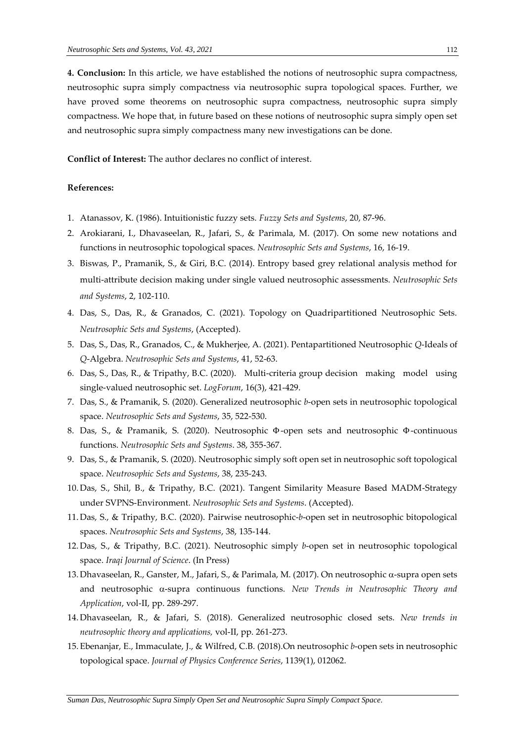**4. Conclusion:** In this article, we have established the notions of neutrosophic supra compactness, neutrosophic supra simply compactness via neutrosophic supra topological spaces. Further, we have proved some theorems on neutrosophic supra compactness, neutrosophic supra simply compactness. We hope that, in future based on these notions of neutrosophic supra simply open set and neutrosophic supra simply compactness many new investigations can be done.

**Conflict of Interest:** The author declares no conflict of interest.

## **References:**

- 1. Atanassov, K. (1986). Intuitionistic fuzzy sets. *Fuzzy Sets and Systems*, 20, 87-96.
- 2. Arokiarani, I., Dhavaseelan, R., Jafari, S., & Parimala, M. (2017). On some new notations and functions in neutrosophic topological spaces. *Neutrosophic Sets and Systems*, 16, 16-19.
- 3. Biswas, P., Pramanik, S., & Giri, B.C. (2014). Entropy based grey relational analysis method for multi-attribute decision making under single valued neutrosophic assessments. *Neutrosophic Sets and Systems*, 2, 102-110.
- 4. Das, S., Das, R., & Granados, C. (2021). Topology on Quadripartitioned Neutrosophic Sets. *Neutrosophic Sets and Systems*, (Accepted).
- 5. Das, S., Das, R., Granados, C., & Mukherjee, A. (2021). Pentapartitioned Neutrosophic *Q*-Ideals of *Q*-Algebra. *Neutrosophic Sets and Systems*, 41, 52-63.
- 6. Das, S., Das, R., & Tripathy, B.C. (2020). Multi-criteria group decision making model using single-valued neutrosophic set. *LogForum*, 16(3), 421-429.
- 7. Das, S., & Pramanik, S. (2020). Generalized neutrosophic *b*-open sets in neutrosophic topological space. *Neutrosophic Sets and Systems*, 35, 522-530.
- 8. Das, S., & Pramanik, S. (2020). Neutrosophic Φ-open sets and neutrosophic Φ-continuous functions. *Neutrosophic Sets and Systems*. 38, 355-367.
- 9. Das, S., & Pramanik, S. (2020). Neutrosophic simply soft open set in neutrosophic soft topological space. *Neutrosophic Sets and Systems*, 38, 235-243.
- 10. Das, S., Shil, B., & Tripathy, B.C. (2021). Tangent Similarity Measure Based MADM-Strategy under SVPNS-Environment. *Neutrosophic Sets and Systems*. (Accepted).
- 11. Das, S., & Tripathy, B.C. (2020). Pairwise neutrosophic-*b*-open set in neutrosophic bitopological spaces. *Neutrosophic Sets and Systems*, 38, 135-144.
- 12. Das, S., & Tripathy, B.C. (2021). Neutrosophic simply *b*-open set in neutrosophic topological space. *Iraqi Journal of Science*. (In Press)
- 13. Dhavaseelan, R., Ganster, M., Jafari, S., & Parimala, M. (2017). On neutrosophic α-supra open sets and neutrosophic  $\alpha$ -supra continuous functions. *New Trends in Neutrosophic Theory and Application*, vol-II, pp. 289-297.
- 14. Dhavaseelan, R., & Jafari, S. (2018). Generalized neutrosophic closed sets. *New trends in neutrosophic theory and applications,* vol-II, pp. 261-273.
- 15. Ebenanjar, E., Immaculate, J., & Wilfred, C.B. (2018).On neutrosophic *b*-open sets in neutrosophic topological space. *Journal of Physics Conference Series*, 1139(1), 012062.